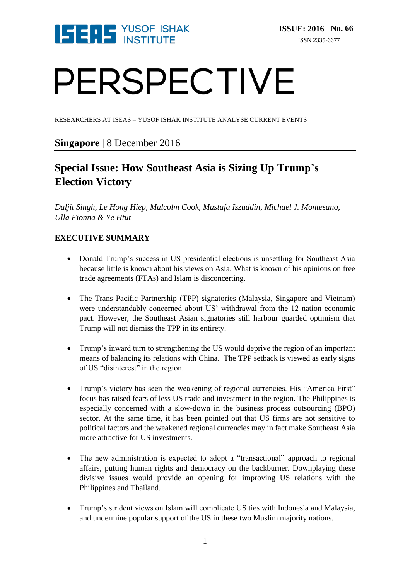

# PERSPECTIVE

RESEARCHERS AT ISEAS – YUSOF ISHAK INSTITUTE ANALYSE CURRENT EVENTS

#### **Singapore** | 8 December 2016

### **Special Issue: How Southeast Asia is Sizing Up Trump's Election Victory**

*Daljit Singh, Le Hong Hiep, Malcolm Cook, Mustafa Izzuddin, Michael J. Montesano, Ulla Fionna & Ye Htut* 

#### **EXECUTIVE SUMMARY**

- Donald Trump's success in US presidential elections is unsettling for Southeast Asia because little is known about his views on Asia. What is known of his opinions on free trade agreements (FTAs) and Islam is disconcerting.
- The Trans Pacific Partnership (TPP) signatories (Malaysia, Singapore and Vietnam) were understandably concerned about US' withdrawal from the 12-nation economic pact. However, the Southeast Asian signatories still harbour guarded optimism that Trump will not dismiss the TPP in its entirety.
- Trump's inward turn to strengthening the US would deprive the region of an important means of balancing its relations with China. The TPP setback is viewed as early signs of US "disinterest" in the region.
- Trump's victory has seen the weakening of regional currencies. His "America First" focus has raised fears of less US trade and investment in the region. The Philippines is especially concerned with a slow-down in the business process outsourcing (BPO) sector. At the same time, it has been pointed out that US firms are not sensitive to political factors and the weakened regional currencies may in fact make Southeast Asia more attractive for US investments.
- The new administration is expected to adopt a "transactional" approach to regional affairs, putting human rights and democracy on the backburner. Downplaying these divisive issues would provide an opening for improving US relations with the Philippines and Thailand.
- Trump's strident views on Islam will complicate US ties with Indonesia and Malaysia, and undermine popular support of the US in these two Muslim majority nations.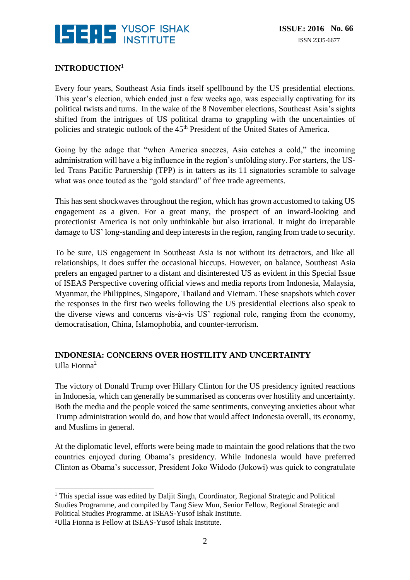

#### **INTRODUCTION<sup>1</sup>**

Every four years, Southeast Asia finds itself spellbound by the US presidential elections. This year's election, which ended just a few weeks ago, was especially captivating for its political twists and turns. In the wake of the 8 November elections, Southeast Asia's sights shifted from the intrigues of US political drama to grappling with the uncertainties of policies and strategic outlook of the 45<sup>th</sup> President of the United States of America.

Going by the adage that "when America sneezes, Asia catches a cold," the incoming administration will have a big influence in the region's unfolding story. For starters, the USled Trans Pacific Partnership (TPP) is in tatters as its 11 signatories scramble to salvage what was once touted as the "gold standard" of free trade agreements.

This has sent shockwaves throughout the region, which has grown accustomed to taking US engagement as a given. For a great many, the prospect of an inward-looking and protectionist America is not only unthinkable but also irrational. It might do irreparable damage to US' long-standing and deep interests in the region, ranging from trade to security.

To be sure, US engagement in Southeast Asia is not without its detractors, and like all relationships, it does suffer the occasional hiccups. However, on balance, Southeast Asia prefers an engaged partner to a distant and disinterested US as evident in this Special Issue of ISEAS Perspective covering official views and media reports from Indonesia, Malaysia, Myanmar, the Philippines, Singapore, Thailand and Vietnam. These snapshots which cover the responses in the first two weeks following the US presidential elections also speak to the diverse views and concerns vis-à-vis US' regional role, ranging from the economy, democratisation, China, Islamophobia, and counter-terrorism.

#### **INDONESIA: CONCERNS OVER HOSTILITY AND UNCERTAINTY** Ulla Fionna $^2$

The victory of Donald Trump over Hillary Clinton for the US presidency ignited reactions in Indonesia, which can generally be summarised as concerns over hostility and uncertainty. Both the media and the people voiced the same sentiments, conveying anxieties about what Trump administration would do, and how that would affect Indonesia overall, its economy, and Muslims in general.

At the diplomatic level, efforts were being made to maintain the good relations that the two countries enjoyed during Obama's presidency. While Indonesia would have preferred Clinton as Obama's successor, President Joko Widodo (Jokowi) was quick to congratulate

<sup>&</sup>lt;u>.</u> <sup>1</sup> This special issue was edited by Daljit Singh, Coordinator, Regional Strategic and Political Studies Programme, and compiled by Tang Siew Mun, Senior Fellow, Regional Strategic and Political Studies Programme. at ISEAS-Yusof Ishak Institute.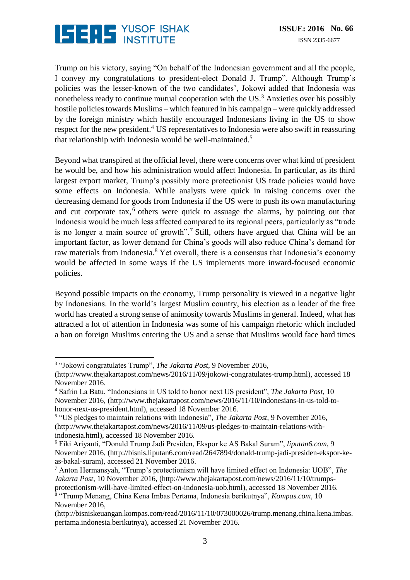

Trump on his victory, saying "On behalf of the Indonesian government and all the people, I convey my congratulations to president-elect Donald J. Trump". Although Trump's policies was the lesser-known of the two candidates', Jokowi added that Indonesia was nonetheless ready to continue mutual cooperation with the  $US^3$ . Anxieties over his possibly hostile policies towards Muslims – which featured in his campaign – were quickly addressed by the foreign ministry which hastily encouraged Indonesians living in the US to show respect for the new president.<sup>4</sup> US representatives to Indonesia were also swift in reassuring that relationship with Indonesia would be well-maintained.<sup>5</sup>

Beyond what transpired at the official level, there were concerns over what kind of president he would be, and how his administration would affect Indonesia. In particular, as its third largest export market, Trump's possibly more protectionist US trade policies would have some effects on Indonesia. While analysts were quick in raising concerns over the decreasing demand for goods from Indonesia if the US were to push its own manufacturing and cut corporate tax,<sup>6</sup> others were quick to assuage the alarms, by pointing out that Indonesia would be much less affected compared to its regional peers, particularly as "trade is no longer a main source of growth".<sup>7</sup> Still, others have argued that China will be an important factor, as lower demand for China's goods will also reduce China's demand for raw materials from Indonesia.<sup>8</sup> Yet overall, there is a consensus that Indonesia's economy would be affected in some ways if the US implements more inward-focused economic policies.

Beyond possible impacts on the economy, Trump personality is viewed in a negative light by Indonesians. In the world's largest Muslim country, his election as a leader of the free world has created a strong sense of animosity towards Muslims in general. Indeed, what has attracted a lot of attention in Indonesia was some of his campaign rhetoric which included a ban on foreign Muslims entering the US and a sense that Muslims would face hard times

 $\overline{a}$ 3 "Jokowi congratulates Trump", *The Jakarta Post*, 9 November 2016,

[<sup>\(</sup>http://www.thejakartapost.com/news/2016/11/09/jokowi-congratulates-trump.html\)](http://www.thejakartapost.com/news/2016/11/09/jokowi-congratulates-trump.html), accessed 18 November 2016.

<sup>4</sup> Safrin La Batu, "Indonesians in US told to honor next US president", *The Jakarta Post*, 10 November 2016, [\(http://www.thejakartapost.com/news/2016/11/10/indonesians-in-us-told-to](http://www.thejakartapost.com/news/2016/11/10/indonesians-in-us-told-to-honor-next-us-president.html)[honor-next-us-president.html\)](http://www.thejakartapost.com/news/2016/11/10/indonesians-in-us-told-to-honor-next-us-president.html), accessed 18 November 2016.

<sup>5</sup> "US pledges to maintain relations with Indonesia", *The Jakarta Post*, 9 November 2016, [\(http://www.thejakartapost.com/news/2016/11/09/us-pledges-to-maintain-relations-with](http://www.thejakartapost.com/news/2016/11/09/us-pledges-to-maintain-relations-with-indonesia.html)[indonesia.html\)](http://www.thejakartapost.com/news/2016/11/09/us-pledges-to-maintain-relations-with-indonesia.html), accessed 18 November 2016.

<sup>6</sup> Fiki Ariyanti, "Donald Trump Jadi Presiden, Ekspor ke AS Bakal Suram", *liputan6.com*, 9 November 2016, [\(http://bisnis.liputan6.com/read/2647894/donald-trump-jadi-presiden-ekspor-ke](http://bisnis.liputan6.com/read/2647894/donald-trump-jadi-presiden-ekspor-ke-as-bakal-suram)[as-bakal-suram\)](http://bisnis.liputan6.com/read/2647894/donald-trump-jadi-presiden-ekspor-ke-as-bakal-suram), accessed 21 November 2016.

<sup>7</sup> Anton Hermansyah, "Trump's protectionism will have limited effect on Indonesia: UOB", *The Jakarta Post*, 10 November 2016, [\(http://www.thejakartapost.com/news/2016/11/10/trumps](http://www.thejakartapost.com/news/2016/11/10/trumps-protectionism-will-have-limited-effect-on-indonesia-uob.html)[protectionism-will-have-limited-effect-on-indonesia-uob.html\)](http://www.thejakartapost.com/news/2016/11/10/trumps-protectionism-will-have-limited-effect-on-indonesia-uob.html), accessed 18 November 2016.

<sup>8</sup> "Trump Menang, China Kena Imbas Pertama, Indonesia berikutnya", *Kompas.com*, 10 November 2016,

[<sup>\(</sup>http://bisniskeuangan.kompas.com/read/2016/11/10/073000026/trump.menang.china.kena.imbas.](http://bisniskeuangan.kompas.com/read/2016/11/10/073000026/trump.menang.china.kena.imbas.pertama.indonesia.berikutnya) [pertama.indonesia.berikutnya\)](http://bisniskeuangan.kompas.com/read/2016/11/10/073000026/trump.menang.china.kena.imbas.pertama.indonesia.berikutnya), accessed 21 November 2016.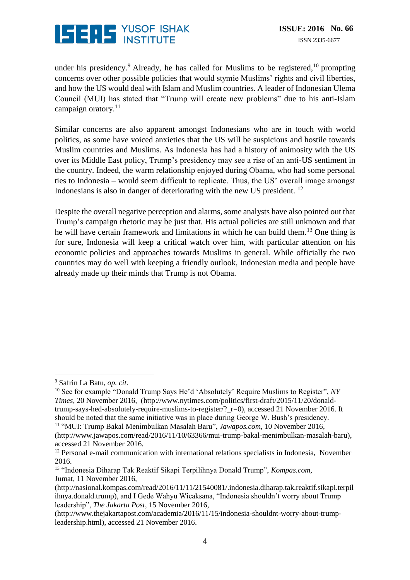

under his presidency.<sup>9</sup> Already, he has called for Muslims to be registered,  $10$  prompting concerns over other possible policies that would stymie Muslims' rights and civil liberties, and how the US would deal with Islam and Muslim countries. A leader of Indonesian Ulema Council (MUI) has stated that "Trump will create new problems" due to his anti-Islam campaign oratory. $11$ 

Similar concerns are also apparent amongst Indonesians who are in touch with world politics, as some have voiced anxieties that the US will be suspicious and hostile towards Muslim countries and Muslims. As Indonesia has had a history of animosity with the US over its Middle East policy, Trump's presidency may see a rise of an anti-US sentiment in the country. Indeed, the warm relationship enjoyed during Obama, who had some personal ties to Indonesia – would seem difficult to replicate. Thus, the US' overall image amongst Indonesians is also in danger of deteriorating with the new US president.<sup>12</sup>

Despite the overall negative perception and alarms, some analysts have also pointed out that Trump's campaign rhetoric may be just that. His actual policies are still unknown and that he will have certain framework and limitations in which he can build them.<sup>13</sup> One thing is for sure, Indonesia will keep a critical watch over him, with particular attention on his economic policies and approaches towards Muslims in general. While officially the two countries may do well with keeping a friendly outlook, Indonesian media and people have already made up their minds that Trump is not Obama.

 $\overline{a}$ 

<sup>9</sup> Safrin La Batu, *op. cit.*

<sup>10</sup> See for example "Donald Trump Says He'd 'Absolutely' Require Muslims to Register", *NY Times*, 20 November 2016, [\(http://www.nytimes.com/politics/first-draft/2015/11/20/donald](http://www.nytimes.com/politics/first-draft/2015/11/20/donald-trump-says-hed-absolutely-require-muslims-to-register/?_r=0)[trump-says-hed-absolutely-require-muslims-to-register/?\\_r=0\)](http://www.nytimes.com/politics/first-draft/2015/11/20/donald-trump-says-hed-absolutely-require-muslims-to-register/?_r=0), accessed 21 November 2016. It should be noted that the same initiative was in place during George W. Bush's presidency. <sup>11</sup> "MUI: Trump Bakal Menimbulkan Masalah Baru", *Jawapos.com*, 10 November 2016,

[<sup>\(</sup>http://www.jawapos.com/read/2016/11/10/63366/mui-trump-bakal-menimbulkan-masalah-baru\)](http://www.jawapos.com/read/2016/11/10/63366/mui-trump-bakal-menimbulkan-masalah-baru), accessed 21 November 2016.

<sup>&</sup>lt;sup>12</sup> Personal e-mail communication with international relations specialists in Indonesia, November 2016.

<sup>13</sup> "Indonesia Diharap Tak Reaktif Sikapi Terpilihnya Donald Trump", *Kompas.com*, Jumat, 11 November 2016,

[<sup>\(</sup>http://nasional.kompas.com/read/2016/11/11/21540081/.indonesia.diharap.tak.reaktif.sikapi.terpil](http://nasional.kompas.com/read/2016/11/11/21540081/.indonesia.diharap.tak.reaktif.sikapi.terpilihnya.donald.trump) [ihnya.donald.trump\)](http://nasional.kompas.com/read/2016/11/11/21540081/.indonesia.diharap.tak.reaktif.sikapi.terpilihnya.donald.trump), and I Gede Wahyu Wicaksana, "Indonesia shouldn't worry about Trump leadership", *The Jakarta Post*, 15 November 2016,

[<sup>\(</sup>http://www.thejakartapost.com/academia/2016/11/15/indonesia-shouldnt-worry-about-trump](http://www.thejakartapost.com/academia/2016/11/15/indonesia-shouldnt-worry-about-trump-leadership.html)[leadership.html\)](http://www.thejakartapost.com/academia/2016/11/15/indonesia-shouldnt-worry-about-trump-leadership.html), accessed 21 November 2016.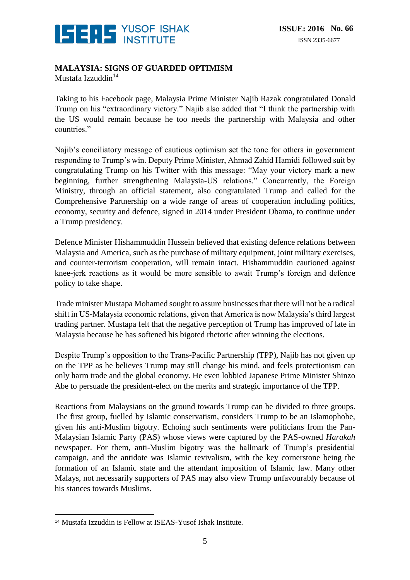

#### **MALAYSIA: SIGNS OF GUARDED OPTIMISM**

Mustafa Izzuddin<sup>14</sup>

Taking to his Facebook page, Malaysia Prime Minister Najib Razak congratulated Donald Trump on his "extraordinary victory." Najib also added that "I think the partnership with the US would remain because he too needs the partnership with Malaysia and other countries."

Najib's conciliatory message of cautious optimism set the tone for others in government responding to Trump's win. Deputy Prime Minister, Ahmad Zahid Hamidi followed suit by congratulating Trump on his Twitter with this message: "May your victory mark a new beginning, further strengthening Malaysia-US relations." Concurrently, the Foreign Ministry, through an official statement, also congratulated Trump and called for the Comprehensive Partnership on a wide range of areas of cooperation including politics, economy, security and defence, signed in 2014 under President Obama, to continue under a Trump presidency.

Defence Minister Hishammuddin Hussein believed that existing defence relations between Malaysia and America, such as the purchase of military equipment, joint military exercises, and counter-terrorism cooperation, will remain intact. Hishammuddin cautioned against knee-jerk reactions as it would be more sensible to await Trump's foreign and defence policy to take shape.

Trade minister Mustapa Mohamed sought to assure businesses that there will not be a radical shift in US-Malaysia economic relations, given that America is now Malaysia's third largest trading partner. Mustapa felt that the negative perception of Trump has improved of late in Malaysia because he has softened his bigoted rhetoric after winning the elections.

Despite Trump's opposition to the Trans-Pacific Partnership (TPP), Najib has not given up on the TPP as he believes Trump may still change his mind, and feels protectionism can only harm trade and the global economy. He even lobbied Japanese Prime Minister Shinzo Abe to persuade the president-elect on the merits and strategic importance of the TPP.

Reactions from Malaysians on the ground towards Trump can be divided to three groups. The first group, fuelled by Islamic conservatism, considers Trump to be an Islamophobe, given his anti-Muslim bigotry. Echoing such sentiments were politicians from the Pan-Malaysian Islamic Party (PAS) whose views were captured by the PAS-owned *Harakah* newspaper. For them, anti-Muslim bigotry was the hallmark of Trump's presidential campaign, and the antidote was Islamic revivalism, with the key cornerstone being the formation of an Islamic state and the attendant imposition of Islamic law. Many other Malays, not necessarily supporters of PAS may also view Trump unfavourably because of his stances towards Muslims.

<sup>&</sup>lt;u>.</u> <sup>14</sup> Mustafa Izzuddin is Fellow at ISEAS-Yusof Ishak Institute.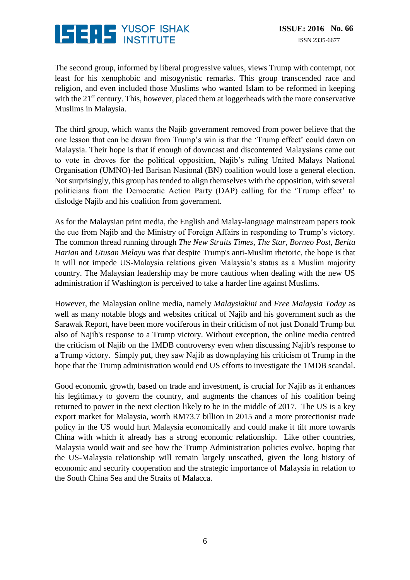

The second group, informed by liberal progressive values, views Trump with contempt, not least for his xenophobic and misogynistic remarks. This group transcended race and religion, and even included those Muslims who wanted Islam to be reformed in keeping with the  $21<sup>st</sup>$  century. This, however, placed them at loggerheads with the more conservative Muslims in Malaysia.

The third group, which wants the Najib government removed from power believe that the one lesson that can be drawn from Trump's win is that the 'Trump effect' could dawn on Malaysia. Their hope is that if enough of downcast and discontented Malaysians came out to vote in droves for the political opposition, Najib's ruling United Malays National Organisation (UMNO)-led Barisan Nasional (BN) coalition would lose a general election. Not surprisingly, this group has tended to align themselves with the opposition, with several politicians from the Democratic Action Party (DAP) calling for the 'Trump effect' to dislodge Najib and his coalition from government.

As for the Malaysian print media, the English and Malay-language mainstream papers took the cue from Najib and the Ministry of Foreign Affairs in responding to Trump's victory. The common thread running through *The New Straits Times*, *The Star*, *Borneo Post*, *Berita Harian* and *Utusan Melayu* was that despite Trump's anti-Muslim rhetoric, the hope is that it will not impede US-Malaysia relations given Malaysia's status as a Muslim majority country. The Malaysian leadership may be more cautious when dealing with the new US administration if Washington is perceived to take a harder line against Muslims.

However, the Malaysian online media, namely *Malaysiakini* and *Free Malaysia Today* as well as many notable blogs and websites critical of Najib and his government such as the Sarawak Report, have been more vociferous in their criticism of not just Donald Trump but also of Najib's response to a Trump victory. Without exception, the online media centred the criticism of Najib on the 1MDB controversy even when discussing Najib's response to a Trump victory. Simply put, they saw Najib as downplaying his criticism of Trump in the hope that the Trump administration would end US efforts to investigate the 1MDB scandal.

Good economic growth, based on trade and investment, is crucial for Najib as it enhances his legitimacy to govern the country, and augments the chances of his coalition being returned to power in the next election likely to be in the middle of 2017. The US is a key export market for Malaysia, worth RM73.7 billion in 2015 and a more protectionist trade policy in the US would hurt Malaysia economically and could make it tilt more towards China with which it already has a strong economic relationship. Like other countries, Malaysia would wait and see how the Trump Administration policies evolve, hoping that the US-Malaysia relationship will remain largely unscathed, given the long history of economic and security cooperation and the strategic importance of Malaysia in relation to the South China Sea and the Straits of Malacca.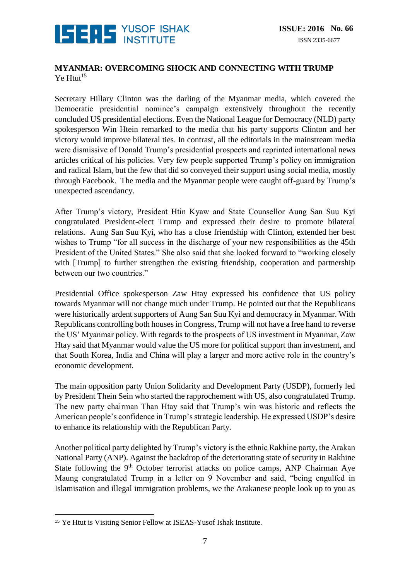

#### **MYANMAR: OVERCOMING SHOCK AND CONNECTING WITH TRUMP**  $Ye$  Htut<sup>15</sup>

Secretary Hillary Clinton was the darling of the Myanmar media, which covered the Democratic presidential nominee's campaign extensively throughout the recently concluded US presidential elections. Even the National League for Democracy (NLD) party spokesperson Win Htein remarked to the media that his party supports Clinton and her victory would improve bilateral ties. In contrast, all the editorials in the mainstream media were dismissive of Donald Trump's presidential prospects and reprinted international news articles critical of his policies. Very few people supported Trump's policy on immigration and radical Islam, but the few that did so conveyed their support using social media, mostly through Facebook. The media and the Myanmar people were caught off-guard by Trump's unexpected ascendancy.

After Trump's victory, President Htin Kyaw and State Counsellor Aung San Suu Kyi congratulated President-elect Trump and expressed their desire to promote bilateral relations. Aung San Suu Kyi, who has a close friendship with Clinton, extended her best wishes to Trump "for all success in the discharge of your new responsibilities as the 45th President of the United States." She also said that she looked forward to "working closely with [Trump] to further strengthen the existing friendship, cooperation and partnership between our two countries."

Presidential Office spokesperson Zaw Htay expressed his confidence that US policy towards Myanmar will not change much under Trump. He pointed out that the Republicans were historically ardent supporters of Aung San Suu Kyi and democracy in Myanmar. With Republicans controlling both houses in Congress, Trump will not have a free hand to reverse the US' Myanmar policy. With regards to the prospects of US investment in Myanmar, Zaw Htay said that Myanmar would value the US more for political support than investment, and that South Korea, India and China will play a larger and more active role in the country's economic development.

The main opposition party Union Solidarity and Development Party (USDP), formerly led by President Thein Sein who started the rapprochement with US, also congratulated Trump. The new party chairman Than Htay said that Trump's win was historic and reflects the American people's confidence in Trump's strategic leadership. He expressed USDP's desire to enhance its relationship with the Republican Party.

Another political party delighted by Trump's victory is the ethnic Rakhine party, the Arakan National Party (ANP). Against the backdrop of the deteriorating state of security in Rakhine State following the 9<sup>th</sup> October terrorist attacks on police camps, ANP Chairman Aye Maung congratulated Trump in a letter on 9 November and said, "being engulfed in Islamisation and illegal immigration problems, we the Arakanese people look up to you as

<sup>&</sup>lt;u>.</u> <sup>15</sup> Ye Htut is Visiting Senior Fellow at ISEAS-Yusof Ishak Institute.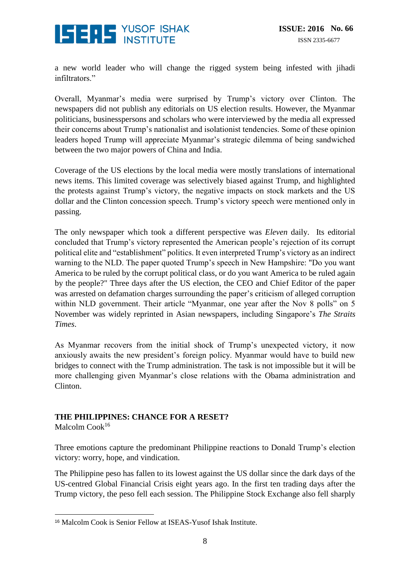

a new world leader who will change the rigged system being infested with jihadi infiltrators."

Overall, Myanmar's media were surprised by Trump's victory over Clinton. The newspapers did not publish any editorials on US election results. However, the Myanmar politicians, businesspersons and scholars who were interviewed by the media all expressed their concerns about Trump's nationalist and isolationist tendencies. Some of these opinion leaders hoped Trump will appreciate Myanmar's strategic dilemma of being sandwiched between the two major powers of China and India.

Coverage of the US elections by the local media were mostly translations of international news items. This limited coverage was selectively biased against Trump, and highlighted the protests against Trump's victory, the negative impacts on stock markets and the US dollar and the Clinton concession speech. Trump's victory speech were mentioned only in passing.

The only newspaper which took a different perspective was *Eleven* daily. Its editorial concluded that Trump's victory represented the American people's rejection of its corrupt political elite and "establishment" politics. It even interpreted Trump's victory as an indirect warning to the NLD. The paper quoted Trump's speech in New Hampshire: "Do you want America to be ruled by the corrupt political class, or do you want America to be ruled again by the people?" Three days after the US election, the CEO and Chief Editor of the paper was arrested on defamation charges surrounding the paper's criticism of alleged corruption within NLD government. Their article "Myanmar, one year after the Nov 8 polls" on 5 November was widely reprinted in Asian newspapers, including Singapore's *The Straits Times*.

As Myanmar recovers from the initial shock of Trump's unexpected victory, it now anxiously awaits the new president's foreign policy. Myanmar would have to build new bridges to connect with the Trump administration. The task is not impossible but it will be more challenging given Myanmar's close relations with the Obama administration and Clinton.

#### **THE PHILIPPINES: CHANCE FOR A RESET?**

Malcolm Cook<sup>16</sup>

Three emotions capture the predominant Philippine reactions to Donald Trump's election victory: worry, hope, and vindication.

The Philippine peso has fallen to its lowest against the US dollar since the dark days of the US-centred Global Financial Crisis eight years ago. In the first ten trading days after the Trump victory, the peso fell each session. The Philippine Stock Exchange also fell sharply

<sup>&</sup>lt;u>.</u> <sup>16</sup> Malcolm Cook is Senior Fellow at ISEAS-Yusof Ishak Institute.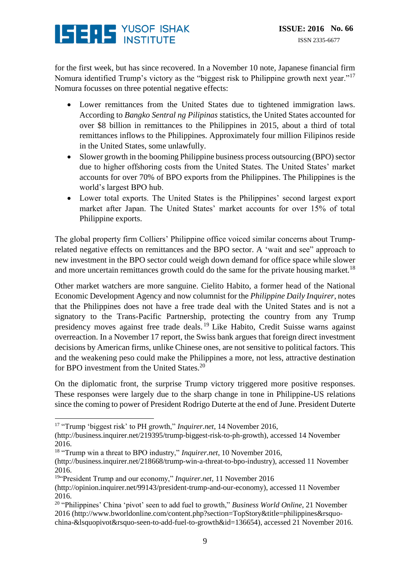# **ISERS** YUSOF ISHAK

for the first week, but has since recovered. In a November 10 note, Japanese financial firm Nomura identified Trump's victory as the "biggest risk to Philippine growth next year."<sup>17</sup> Nomura focusses on three potential negative effects:

- Lower remittances from the United States due to tightened immigration laws. According to *Bangko Sentral ng Pilipinas* statistics, the United States accounted for over \$8 billion in remittances to the Philippines in 2015, about a third of total remittances inflows to the Philippines. Approximately four million Filipinos reside in the United States, some unlawfully.
- Slower growth in the booming Philippine business process outsourcing (BPO) sector due to higher offshoring costs from the United States. The United States' market accounts for over 70% of BPO exports from the Philippines. The Philippines is the world's largest BPO hub.
- Lower total exports. The United States is the Philippines' second largest export market after Japan. The United States' market accounts for over 15% of total Philippine exports.

The global property firm Colliers' Philippine office voiced similar concerns about Trumprelated negative effects on remittances and the BPO sector. A 'wait and see" approach to new investment in the BPO sector could weigh down demand for office space while slower and more uncertain remittances growth could do the same for the private housing market.<sup>18</sup>

Other market watchers are more sanguine. Cielito Habito, a former head of the National Economic Development Agency and now columnist for the *Philippine Daily Inquirer*, notes that the Philippines does not have a free trade deal with the United States and is not a signatory to the Trans-Pacific Partnership, protecting the country from any Trump presidency moves against free trade deals. <sup>19</sup> Like Habito, Credit Suisse warns against overreaction. In a November 17 report, the Swiss bank argues that foreign direct investment decisions by American firms, unlike Chinese ones, are not sensitive to political factors. This and the weakening peso could make the Philippines a more, not less, attractive destination for BPO investment from the United States.<sup>20</sup>

On the diplomatic front, the surprise Trump victory triggered more positive responses. These responses were largely due to the sharp change in tone in Philippine-US relations since the coming to power of President Rodrigo Duterte at the end of June. President Duterte

<sup>&</sup>lt;u>.</u> <sup>17</sup> "Trump 'biggest risk' to PH growth," *Inquirer.net*, 14 November 2016,

[<sup>\(</sup>http://business.inquirer.net/219395/trump-biggest-risk-to-ph-growth\)](http://business.inquirer.net/219395/trump-biggest-risk-to-ph-growth), accessed 14 November 2016.

<sup>18</sup> "Trump win a threat to BPO industry," *Inquirer.net*, 10 November 2016,

[<sup>\(</sup>http://business.inquirer.net/218668/trump-win-a-threat-to-bpo-industry\)](http://business.inquirer.net/218668/trump-win-a-threat-to-bpo-industry), accessed 11 November 2016.

<sup>&</sup>lt;sup>19"</sup>President Trump and our economy," *Inquirer.net*, 11 November 2016

[<sup>\(</sup>http://opinion.inquirer.net/99143/president-trump-and-our-economy\)](http://opinion.inquirer.net/99143/president-trump-and-our-economy), accessed 11 November 2016.

<sup>20</sup> "Philippines' China 'pivot' seen to add fuel to growth," *Business World Online*, 21 November 2016 [\(http://www.bworldonline.com/content.php?section=TopStory&title=philippines&rsquo](http://www.bworldonline.com/content.php?section=TopStory&title=philippines&rsquo-china-&lsquopivot&rsquo-seen-to-add-fuel-to-growth&id=136654)[china-&lsquopivot&rsquo-seen-to-add-fuel-to-growth&id=136654\)](http://www.bworldonline.com/content.php?section=TopStory&title=philippines&rsquo-china-&lsquopivot&rsquo-seen-to-add-fuel-to-growth&id=136654), accessed 21 November 2016.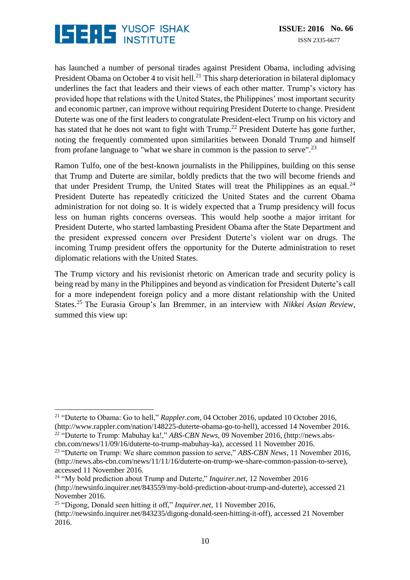

has launched a number of personal tirades against President Obama, including advising President Obama on October 4 to visit hell.<sup>21</sup> This sharp deterioration in bilateral diplomacy underlines the fact that leaders and their views of each other matter. Trump's victory has provided hope that relations with the United States, the Philippines' most important security and economic partner, can improve without requiring President Duterte to change. President Duterte was one of the first leaders to congratulate President-elect Trump on his victory and has stated that he does not want to fight with  $Trump.<sup>22</sup>$  President Duterte has gone further, noting the frequently commented upon similarities between Donald Trump and himself from profane language to "what we share in common is the passion to serve".<sup>23</sup>

Ramon Tulfo, one of the best-known journalists in the Philippines, building on this sense that Trump and Duterte are similar, boldly predicts that the two will become friends and that under President Trump, the United States will treat the Philippines as an equal.<sup>24</sup> President Duterte has repeatedly criticized the United States and the current Obama administration for not doing so. It is widely expected that a Trump presidency will focus less on human rights concerns overseas. This would help soothe a major irritant for President Duterte, who started lambasting President Obama after the State Department and the president expressed concern over President Duterte's violent war on drugs. The incoming Trump president offers the opportunity for the Duterte administration to reset diplomatic relations with the United States.

The Trump victory and his revisionist rhetoric on American trade and security policy is being read by many in the Philippines and beyond as vindication for President Duterte's call for a more independent foreign policy and a more distant relationship with the United States.<sup>25</sup> The Eurasia Group's Ian Bremmer, in an interview with *Nikkei Asian Review*, summed this view up:

<u>.</u>

<sup>&</sup>lt;sup>21</sup> "Duterte to Obama: Go to hell," *Rappler.com*, 04 October 2016, updated 10 October 2016, [\(http://www.rappler.com/nation/148225-duterte-obama-go-to-hell\)](http://www.rappler.com/nation/148225-duterte-obama-go-to-hell), accessed 14 November 2016. <sup>22</sup> "Duterte to Trump: Mabuhay ka!," *ABS-CBN News*, 09 November 2016, [\(http://news.abs-](http://news.abs-cbn.com/news/11/09/16/duterte-to-trump-mabuhay-ka)

[cbn.com/news/11/09/16/duterte-to-trump-mabuhay-ka\)](http://news.abs-cbn.com/news/11/09/16/duterte-to-trump-mabuhay-ka), accessed 11 November 2016.

<sup>&</sup>lt;sup>23</sup> "Duterte on Trump: We share common passion to serve," *ABS-CBN News*, 11 November 2016, [\(http://news.abs-cbn.com/news/11/11/16/duterte-on-trump-we-share-common-passion-to-serve\)](http://news.abs-cbn.com/news/11/11/16/duterte-on-trump-we-share-common-passion-to-serve), accessed 11 November 2016.

<sup>24</sup> "My bold prediction about Trump and Duterte," *Inquirer.net*, 12 November 2016 [\(http://newsinfo.inquirer.net/843559/my-bold-prediction-about-trump-and-duterte\)](http://newsinfo.inquirer.net/843559/my-bold-prediction-about-trump-and-duterte), accessed 21 November 2016.

<sup>25</sup> "Digong, Donald seen hitting it off," *Inquirer.net*, 11 November 2016,

[<sup>\(</sup>http://newsinfo.inquirer.net/843235/digong-donald-seen-hitting-it-off\)](http://newsinfo.inquirer.net/843235/digong-donald-seen-hitting-it-off), accessed 21 November 2016.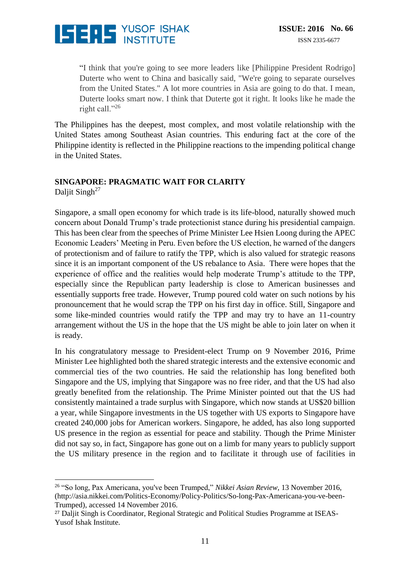

"I think that you're going to see more leaders like [Philippine President Rodrigo] Duterte who went to China and basically said, "We're going to separate ourselves from the United States." A lot more countries in Asia are going to do that. I mean, Duterte looks smart now. I think that Duterte got it right. It looks like he made the right call."<sup>26</sup>

The Philippines has the deepest, most complex, and most volatile relationship with the United States among Southeast Asian countries. This enduring fact at the core of the Philippine identity is reflected in the Philippine reactions to the impending political change in the United States.

#### **SINGAPORE: PRAGMATIC WAIT FOR CLARITY** Daljit Singh<sup>27</sup>

Singapore, a small open economy for which trade is its life-blood, naturally showed much concern about Donald Trump's trade protectionist stance during his presidential campaign. This has been clear from the speeches of Prime Minister Lee Hsien Loong during the APEC Economic Leaders' Meeting in Peru. Even before the US election, he warned of the dangers of protectionism and of failure to ratify the TPP, which is also valued for strategic reasons since it is an important component of the US rebalance to Asia. There were hopes that the experience of office and the realities would help moderate Trump's attitude to the TPP, especially since the Republican party leadership is close to American businesses and essentially supports free trade. However, Trump poured cold water on such notions by his pronouncement that he would scrap the TPP on his first day in office. Still, Singapore and some like-minded countries would ratify the TPP and may try to have an 11-country arrangement without the US in the hope that the US might be able to join later on when it is ready.

In his congratulatory message to President-elect Trump on 9 November 2016, Prime Minister Lee highlighted both the shared strategic interests and the extensive economic and commercial ties of the two countries. He said the relationship has long benefited both Singapore and the US, implying that Singapore was no free rider, and that the US had also greatly benefited from the relationship. The Prime Minister pointed out that the US had consistently maintained a trade surplus with Singapore, which now stands at US\$20 billion a year, while Singapore investments in the US together with US exports to Singapore have created 240,000 jobs for American workers. Singapore, he added, has also long supported US presence in the region as essential for peace and stability. Though the Prime Minister did not say so, in fact, Singapore has gone out on a limb for many years to publicly support the US military presence in the region and to facilitate it through use of facilities in

<u>.</u>

<sup>26</sup> "So long, Pax Americana, you've been Trumped," *Nikkei Asian Review*, 13 November 2016, [\(http://asia.nikkei.com/Politics-Economy/Policy-Politics/So-long-Pax-Americana-you-ve-been-](http://asia.nikkei.com/Politics-Economy/Policy-Politics/So-long-Pax-Americana-you-ve-been-Trumped)[Trumped\)](http://asia.nikkei.com/Politics-Economy/Policy-Politics/So-long-Pax-Americana-you-ve-been-Trumped), accessed 14 November 2016.

<sup>27</sup> Daljit Singh is Coordinator, Regional Strategic and Political Studies Programme at ISEAS-Yusof Ishak Institute.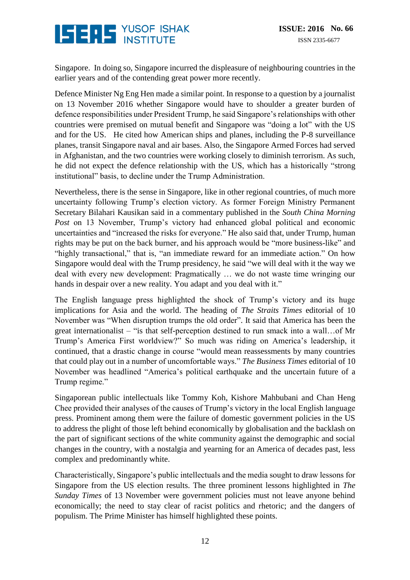## **ISERE** YUSOF ISHAK

Singapore. In doing so, Singapore incurred the displeasure of neighbouring countries in the earlier years and of the contending great power more recently.

Defence Minister Ng Eng Hen made a similar point. In response to a question by a journalist on 13 November 2016 whether Singapore would have to shoulder a greater burden of defence responsibilities under President Trump, he said Singapore's relationships with other countries were premised on mutual benefit and Singapore was "doing a lot" with the US and for the US. He cited how American ships and planes, including the P-8 surveillance planes, transit Singapore naval and air bases. Also, the Singapore Armed Forces had served in Afghanistan, and the two countries were working closely to diminish terrorism. As such, he did not expect the defence relationship with the US, which has a historically "strong institutional" basis, to decline under the Trump Administration.

Nevertheless, there is the sense in Singapore, like in other regional countries, of much more uncertainty following Trump's election victory. As former Foreign Ministry Permanent Secretary Bilahari Kausikan said in a commentary published in the *South China Morning Post* on 13 November, Trump's victory had enhanced global political and economic uncertainties and "increased the risks for everyone." He also said that, under Trump, human rights may be put on the back burner, and his approach would be "more business-like" and "highly transactional," that is, "an immediate reward for an immediate action." On how Singapore would deal with the Trump presidency, he said "we will deal with it the way we deal with every new development: Pragmatically … we do not waste time wringing our hands in despair over a new reality. You adapt and you deal with it."

The English language press highlighted the shock of Trump's victory and its huge implications for Asia and the world. The heading of *The Straits Times* editorial of 10 November was "When disruption trumps the old order". It said that America has been the great internationalist – "is that self-perception destined to run smack into a wall…of Mr Trump's America First worldview?" So much was riding on America's leadership, it continued, that a drastic change in course "would mean reassessments by many countries that could play out in a number of uncomfortable ways." *The Business Times* editorial of 10 November was headlined "America's political earthquake and the uncertain future of a Trump regime."

Singaporean public intellectuals like Tommy Koh, Kishore Mahbubani and Chan Heng Chee provided their analyses of the causes of Trump's victory in the local English language press. Prominent among them were the failure of domestic government policies in the US to address the plight of those left behind economically by globalisation and the backlash on the part of significant sections of the white community against the demographic and social changes in the country, with a nostalgia and yearning for an America of decades past, less complex and predominantly white.

Characteristically, Singapore's public intellectuals and the media sought to draw lessons for Singapore from the US election results. The three prominent lessons highlighted in *The Sunday Times* of 13 November were government policies must not leave anyone behind economically; the need to stay clear of racist politics and rhetoric; and the dangers of populism. The Prime Minister has himself highlighted these points.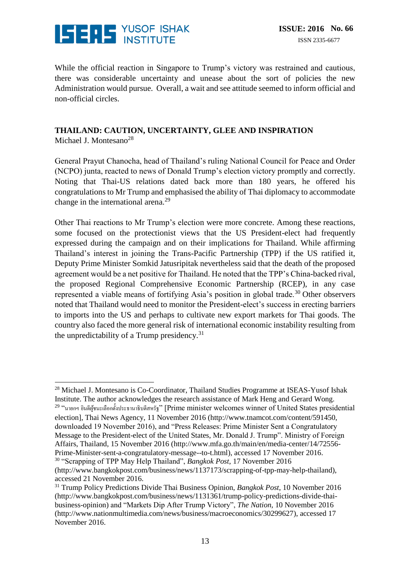

While the official reaction in Singapore to Trump's victory was restrained and cautious, there was considerable uncertainty and unease about the sort of policies the new Administration would pursue. Overall, a wait and see attitude seemed to inform official and non-official circles.

### **THAILAND: CAUTION, UNCERTAINTY, GLEE AND INSPIRATION**

Michael J. Montesano<sup>28</sup>

General Prayut Chanocha, head of Thailand's ruling National Council for Peace and Order (NCPO) junta, reacted to news of Donald Trump's election victory promptly and correctly. Noting that Thai-US relations dated back more than 180 years, he offered his congratulations to Mr Trump and emphasised the ability of Thai diplomacy to accommodate change in the international arena.<sup>29</sup>

Other Thai reactions to Mr Trump's election were more concrete. Among these reactions, some focused on the protectionist views that the US President-elect had frequently expressed during the campaign and on their implications for Thailand. While affirming Thailand's interest in joining the Trans-Pacific Partnership (TPP) if the US ratified it, Deputy Prime Minister Somkid Jatusripitak nevertheless said that the death of the proposed agreement would be a net positive for Thailand. He noted that the TPP's China-backed rival, the proposed Regional Comprehensive Economic Partnership (RCEP), in any case represented a viable means of fortifying Asia's position in global trade.<sup>30</sup> Other observers noted that Thailand would need to monitor the President-elect's success in erecting barriers to imports into the US and perhaps to cultivate new export markets for Thai goods. The country also faced the more general risk of international economic instability resulting from the unpredictability of a Trump presidency.<sup>31</sup>

<sup>&</sup>lt;u>.</u> <sup>28</sup> Michael J. Montesano is Co-Coordinator, Thailand Studies Programme at ISEAS-Yusof Ishak Institute. The author acknowledges the research assistance of Mark Heng and Gerard Wong.  $^{29}$  "นายกฯ ขินดีผู้ชนะเลือกตั้งประธานาธิบดีสหรัฐ" [Prime minister welcomes winner of United States presidential

election], Thai News Agency, 11 November 2016 [\(http://www.tnamcot.com/content/591450,](http://www.tnamcot.com/content/591450) downloaded 19 November 2016), and "Press Releases: Prime Minister Sent a Congratulatory Message to the President-elect of the United States, Mr. Donald J. Trump". Ministry of Foreign Affairs, Thailand, 15 November 2016 [\(http://www.mfa.go.th/main/en/media-center/14/72556-](http://www.mfa.go.th/main/en/media-center/14/72556-Prime-Minister-sent-a-congratulatory-message--to-t.html) [Prime-Minister-sent-a-congratulatory-message--to-t.html\)](http://www.mfa.go.th/main/en/media-center/14/72556-Prime-Minister-sent-a-congratulatory-message--to-t.html), accessed 17 November 2016. <sup>30</sup> "Scrapping of TPP May Help Thailand", *Bangkok Post*, 17 November 2016

[<sup>\(</sup>http://www.bangkokpost.com/business/news/1137173/scrapping-of-tpp-may-help-thailand\)](http://www.bangkokpost.com/business/news/1137173/scrapping-of-tpp-may-help-thailand), accessed 21 November 2016.

<sup>31</sup> Trump Policy Predictions Divide Thai Business Opinion, *Bangkok Post*, 10 November 2016 [\(http://www.bangkokpost.com/business/news/1131361/trump-policy-predictions-divide-thai](http://www.bangkokpost.com/business/news/1131361/trump-policy-predictions-divide-thai-business-opinion)[business-opinion\)](http://www.bangkokpost.com/business/news/1131361/trump-policy-predictions-divide-thai-business-opinion) and "Markets Dip After Trump Victory", *The Nation*, 10 November 2016 [\(http://www.nationmultimedia.com/news/business/macroeconomics/30299627\)](http://www.nationmultimedia.com/news/business/macroeconomics/30299627), accessed 17 November 2016.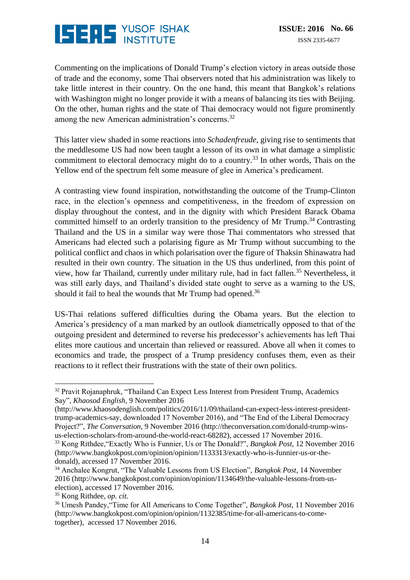## **ISERS** YUSOF ISHAK

Commenting on the implications of Donald Trump's election victory in areas outside those of trade and the economy, some Thai observers noted that his administration was likely to take little interest in their country. On the one hand, this meant that Bangkok's relations with Washington might no longer provide it with a means of balancing its ties with Beijing. On the other, human rights and the state of Thai democracy would not figure prominently among the new American administration's concerns.<sup>32</sup>

This latter view shaded in some reactions into *Schadenfreude*, giving rise to sentiments that the meddlesome US had now been taught a lesson of its own in what damage a simplistic commitment to electoral democracy might do to a country.<sup>33</sup> In other words, Thais on the Yellow end of the spectrum felt some measure of glee in America's predicament.

A contrasting view found inspiration, notwithstanding the outcome of the Trump-Clinton race, in the election's openness and competitiveness, in the freedom of expression on display throughout the contest, and in the dignity with which President Barack Obama committed himself to an orderly transition to the presidency of Mr Trump.<sup>34</sup> Contrasting Thailand and the US in a similar way were those Thai commentators who stressed that Americans had elected such a polarising figure as Mr Trump without succumbing to the political conflict and chaos in which polarisation over the figure of Thaksin Shinawatra had resulted in their own country. The situation in the US thus underlined, from this point of view, how far Thailand, currently under military rule, had in fact fallen.<sup>35</sup> Nevertheless, it was still early days, and Thailand's divided state ought to serve as a warning to the US, should it fail to heal the wounds that Mr Trump had opened.<sup>36</sup>

US-Thai relations suffered difficulties during the Obama years. But the election to America's presidency of a man marked by an outlook diametrically opposed to that of the outgoing president and determined to reverse his predecessor's achievements has left Thai elites more cautious and uncertain than relieved or reassured. Above all when it comes to economics and trade, the prospect of a Trump presidency confuses them, even as their reactions to it reflect their frustrations with the state of their own politics.

<sup>&</sup>lt;u>.</u> <sup>32</sup> Pravit Rojanaphruk, "Thailand Can Expect Less Interest from President Trump, Academics Say", *Khaosod English*, 9 November 2016

[<sup>\(</sup>http://www.khaosodenglish.com/politics/2016/11/09/thailand-can-expect-less-interest-president](http://www.khaosodenglish.com/politics/2016/11/09/thailand-can-expect-less-interest-president-trump-academics-say)[trump-academics-say,](http://www.khaosodenglish.com/politics/2016/11/09/thailand-can-expect-less-interest-president-trump-academics-say) downloaded 17 November 2016), and "The End of the Liberal Democracy Project?", *The Conversation*, 9 November 2016 [\(http://theconversation.com/donald-trump-wins](http://theconversation.com/donald-trump-wins-us-election-scholars-from-around-the-world-react-68282)[us-election-scholars-from-around-the-world-react-68282\)](http://theconversation.com/donald-trump-wins-us-election-scholars-from-around-the-world-react-68282), accessed 17 November 2016.

<sup>33</sup> Kong Rithdee,"Exactly Who is Funnier, Us or The Donald?", *Bangkok Post*, 12 November 2016 [\(http://www.bangkokpost.com/opinion/opinion/1133313/exactly-who-is-funnier-us-or-the](http://www.bangkokpost.com/opinion/opinion/1133313/exactly-who-is-funnier-us-or-the-donald-)[donald\)](http://www.bangkokpost.com/opinion/opinion/1133313/exactly-who-is-funnier-us-or-the-donald-), accessed 17 November 2016.

<sup>34</sup> Anchalee Kongrut, "The Valuable Lessons from US Election", *Bangkok Post*, 14 November 2016 [\(http://www.bangkokpost.com/opinion/opinion/1134649/the-valuable-lessons-from-us](http://www.bangkokpost.com/opinion/opinion/1134649/the-valuable-lessons-from-us-election)[election\)](http://www.bangkokpost.com/opinion/opinion/1134649/the-valuable-lessons-from-us-election), accessed 17 November 2016.

<sup>35</sup> Kong Rithdee, *op. cit.*

<sup>36</sup> Umesh Pandey,"Time for All Americans to Come Together", *Bangkok Post*, 11 November 2016 [\(http://www.bangkokpost.com/opinion/opinion/1132385/time-for-all-americans-to-come](http://www.bangkokpost.com/opinion/opinion/1132385/time-for-all-americans-to-come-together)[together\)](http://www.bangkokpost.com/opinion/opinion/1132385/time-for-all-americans-to-come-together), accessed 17 November 2016.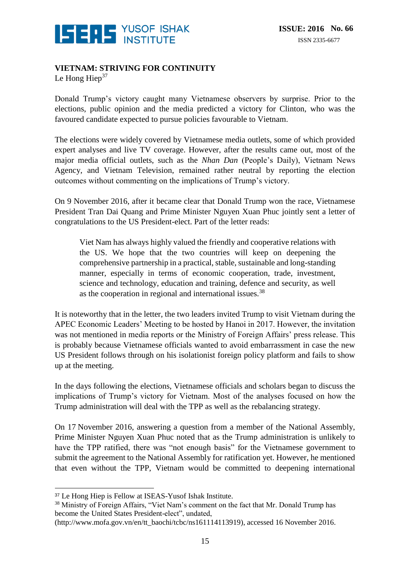

#### **VIETNAM: STRIVING FOR CONTINUITY**

Le Hong Hiep $37$ 

Donald Trump's victory caught many Vietnamese observers by surprise. Prior to the elections, public opinion and the media predicted a victory for Clinton, who was the favoured candidate expected to pursue policies favourable to Vietnam.

The elections were widely covered by Vietnamese media outlets, some of which provided expert analyses and live TV coverage. However, after the results came out, most of the major media official outlets, such as the *Nhan Dan* (People's Daily), Vietnam News Agency, and Vietnam Television, remained rather neutral by reporting the election outcomes without commenting on the implications of Trump's victory.

On 9 November 2016, after it became clear that Donald Trump won the race, Vietnamese President Tran Dai Quang and Prime Minister Nguyen Xuan Phuc jointly sent a letter of congratulations to the US President-elect. Part of the letter reads:

Viet Nam has always highly valued the friendly and cooperative relations with the US. We hope that the two countries will keep on deepening the comprehensive partnership in a practical, stable, sustainable and long-standing manner, especially in terms of economic cooperation, trade, investment, science and technology, education and training, defence and security, as well as the cooperation in regional and international issues.<sup>38</sup>

It is noteworthy that in the letter, the two leaders invited Trump to visit Vietnam during the APEC Economic Leaders' Meeting to be hosted by Hanoi in 2017. However, the invitation was not mentioned in media reports or the Ministry of Foreign Affairs' press release. This is probably because Vietnamese officials wanted to avoid embarrassment in case the new US President follows through on his isolationist foreign policy platform and fails to show up at the meeting.

In the days following the elections, Vietnamese officials and scholars began to discuss the implications of Trump's victory for Vietnam. Most of the analyses focused on how the Trump administration will deal with the TPP as well as the rebalancing strategy.

On 17 November 2016, answering a question from a member of the National Assembly, Prime Minister Nguyen Xuan Phuc noted that as the Trump administration is unlikely to have the TPP ratified, there was "not enough basis" for the Vietnamese government to submit the agreement to the National Assembly for ratification yet. However, he mentioned that even without the TPP, Vietnam would be committed to deepening international

<u>.</u>

<sup>38</sup> Ministry of Foreign Affairs, "Viet Nam's comment on the fact that Mr. Donald Trump has become the United States President-elect", undated,

<sup>37</sup> Le Hong Hiep is Fellow at ISEAS-Yusof Ishak Institute.

[<sup>\(</sup>http://www.mofa.gov.vn/en/tt\\_baochi/tcbc/ns161114113919\)](http://www.mofa.gov.vn/en/tt_baochi/tcbc/ns161114113919), accessed 16 November 2016.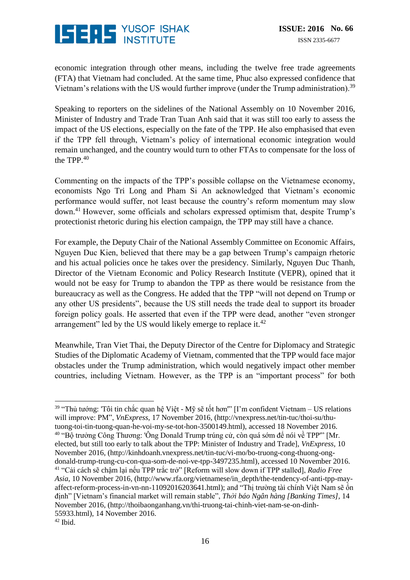

economic integration through other means, including the twelve free trade agreements (FTA) that Vietnam had concluded. At the same time, Phuc also expressed confidence that Vietnam's relations with the US would further improve (under the Trump administration).<sup>39</sup>

Speaking to reporters on the sidelines of the National Assembly on 10 November 2016, Minister of Industry and Trade Tran Tuan Anh said that it was still too early to assess the impact of the US elections, especially on the fate of the TPP. He also emphasised that even if the TPP fell through, Vietnam's policy of international economic integration would remain unchanged, and the country would turn to other FTAs to compensate for the loss of the TPP. $40$ 

Commenting on the impacts of the TPP's possible collapse on the Vietnamese economy, economists Ngo Tri Long and Pham Si An acknowledged that Vietnam's economic performance would suffer, not least because the country's reform momentum may slow down.<sup>41</sup> However, some officials and scholars expressed optimism that, despite Trump's protectionist rhetoric during his election campaign, the TPP may still have a chance.

For example, the Deputy Chair of the National Assembly Committee on Economic Affairs, Nguyen Duc Kien, believed that there may be a gap between Trump's campaign rhetoric and his actual policies once he takes over the presidency. Similarly, Nguyen Duc Thanh, Director of the Vietnam Economic and Policy Research Institute (VEPR), opined that it would not be easy for Trump to abandon the TPP as there would be resistance from the bureaucracy as well as the Congress. He added that the TPP "will not depend on Trump or any other US presidents", because the US still needs the trade deal to support its broader foreign policy goals. He asserted that even if the TPP were dead, another "even stronger arrangement" led by the US would likely emerge to replace it.<sup>42</sup>

Meanwhile, Tran Viet Thai, the Deputy Director of the Centre for Diplomacy and Strategic Studies of the Diplomatic Academy of Vietnam, commented that the TPP would face major obstacles under the Trump administration, which would negatively impact other member countries, including Vietnam. However, as the TPP is an "important process" for both

 $\overline{a}$ 

<sup>&</sup>lt;sup>39</sup> "Thủ tướng: 'Tôi tin chắc quan hệ Việt - Mỹ sẽ tốt hơn'" [I'm confident Vietnam – US relations will improve: PM", *VnExpress,* 17 November 2016, (http://vnexpress.net/tin-tuc/thoi-su/thutuong-toi-tin-tuong-quan-he-voi-my-se-tot-hon-3500149.html), accessed 18 November 2016. <sup>40</sup> "Bộ trưởng Công Thương: 'Ông Donald Trump trúng cử, còn quá sớm để nói về TPP'" [Mr. elected, but still too early to talk about the TPP: Minister of Industry and Trade], *VnExpress,* 10 November 2016, [\(http://kinhdoanh.vnexpress.net/tin-tuc/vi-mo/bo-truong-cong-thuong-ong](http://kinhdoanh.vnexpress.net/tin-tuc/vi-mo/bo-truong-cong-thuong-ong-donald-trump-trung-cu-con-qua-som-de-noi-ve-tpp-3497235.html)[donald-trump-trung-cu-con-qua-som-de-noi-ve-tpp-3497235.html\)](http://kinhdoanh.vnexpress.net/tin-tuc/vi-mo/bo-truong-cong-thuong-ong-donald-trump-trung-cu-con-qua-som-de-noi-ve-tpp-3497235.html), accessed 10 November 2016. <sup>41</sup> "Cải cách sẽ chậm lại nếu TPP trắc trở" [Reform will slow down if TPP stalled], *Radio Free Asia*, 10 November 2016, [\(http://www.rfa.org/vietnamese/in\\_depth/the-tendency-of-anti-tpp-may](http://www.rfa.org/vietnamese/in_depth/the-tendency-of-anti-tpp-may-affect-reform-process-in-vn-nn-11092016203641.html)[affect-reform-process-in-vn-nn-11092016203641.html\)](http://www.rfa.org/vietnamese/in_depth/the-tendency-of-anti-tpp-may-affect-reform-process-in-vn-nn-11092016203641.html); and "Thị trường tài chính Việt Nam sẽ ổn định" [Vietnam's financial market will remain stable", *Thời báo Ngân hàng [Banking Times],* 14 November 2016, [\(http://thoibaonganhang.vn/thi-truong-tai-chinh-viet-nam-se-on-dinh-](http://thoibaonganhang.vn/thi-truong-tai-chinh-viet-nam-se-on-dinh-55933.html)[55933.html\)](http://thoibaonganhang.vn/thi-truong-tai-chinh-viet-nam-se-on-dinh-55933.html), 14 November 2016.

 $42$  Ibid.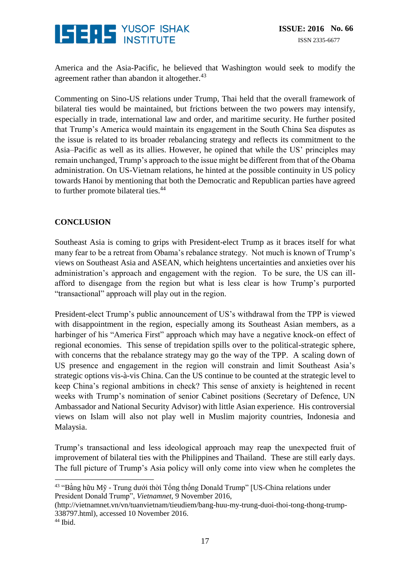

America and the Asia-Pacific, he believed that Washington would seek to modify the agreement rather than abandon it altogether.<sup>43</sup>

Commenting on Sino-US relations under Trump, Thai held that the overall framework of bilateral ties would be maintained, but frictions between the two powers may intensify, especially in trade, international law and order, and maritime security. He further posited that Trump's America would maintain its engagement in the South China Sea disputes as the issue is related to its broader rebalancing strategy and reflects its commitment to the Asia–Pacific as well as its allies. However, he opined that while the US' principles may remain unchanged, Trump's approach to the issue might be different from that of the Obama administration. On US-Vietnam relations, he hinted at the possible continuity in US policy towards Hanoi by mentioning that both the Democratic and Republican parties have agreed to further promote bilateral ties.<sup>44</sup>

#### **CONCLUSION**

Southeast Asia is coming to grips with President-elect Trump as it braces itself for what many fear to be a retreat from Obama's rebalance strategy. Not much is known of Trump's views on Southeast Asia and ASEAN, which heightens uncertainties and anxieties over his administration's approach and engagement with the region. To be sure, the US can illafford to disengage from the region but what is less clear is how Trump's purported "transactional" approach will play out in the region.

President-elect Trump's public announcement of US's withdrawal from the TPP is viewed with disappointment in the region, especially among its Southeast Asian members, as a harbinger of his "America First" approach which may have a negative knock-on effect of regional economies. This sense of trepidation spills over to the political-strategic sphere, with concerns that the rebalance strategy may go the way of the TPP. A scaling down of US presence and engagement in the region will constrain and limit Southeast Asia's strategic options vis-à-vis China. Can the US continue to be counted at the strategic level to keep China's regional ambitions in check? This sense of anxiety is heightened in recent weeks with Trump's nomination of senior Cabinet positions (Secretary of Defence, UN Ambassador and National Security Advisor) with little Asian experience. His controversial views on Islam will also not play well in Muslim majority countries, Indonesia and Malaysia.

Trump's transactional and less ideological approach may reap the unexpected fruit of improvement of bilateral ties with the Philippines and Thailand. These are still early days. The full picture of Trump's Asia policy will only come into view when he completes the

<u>.</u>

 $43$  "Bằng hữu Mỹ - Trung dưới thời Tổng thống Donald Trump" [US-China relations under President Donald Trump", *Vietnamnet,* 9 November 2016,

[<sup>\(</sup>http://vietnamnet.vn/vn/tuanvietnam/tieudiem/bang-huu-my-trung-duoi-thoi-tong-thong-trump-](http://vietnamnet.vn/vn/tuanvietnam/tieudiem/bang-huu-my-trung-duoi-thoi-tong-thong-trump-338797.html)[338797.html\)](http://vietnamnet.vn/vn/tuanvietnam/tieudiem/bang-huu-my-trung-duoi-thoi-tong-thong-trump-338797.html), accessed 10 November 2016.

<sup>&</sup>lt;sup>44</sup> Ibid.